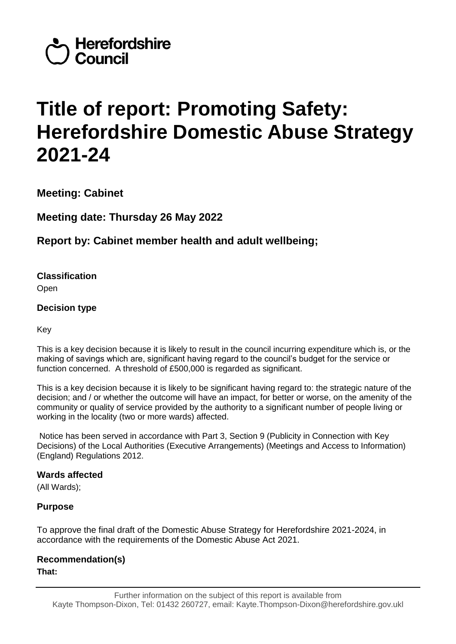

# **Title of report: Promoting Safety: Herefordshire Domestic Abuse Strategy 2021-24**

**Meeting: Cabinet**

**Meeting date: Thursday 26 May 2022**

**Report by: Cabinet member health and adult wellbeing;** 

**Classification**

Open

# **Decision type**

Key

This is a key decision because it is likely to result in the council incurring expenditure which is, or the making of savings which are, significant having regard to the council's budget for the service or function concerned. A threshold of £500,000 is regarded as significant.

This is a key decision because it is likely to be significant having regard to: the strategic nature of the decision; and / or whether the outcome will have an impact, for better or worse, on the amenity of the community or quality of service provided by the authority to a significant number of people living or working in the locality (two or more wards) affected.

Notice has been served in accordance with Part 3, Section 9 (Publicity in Connection with Key Decisions) of the Local Authorities (Executive Arrangements) (Meetings and Access to Information) (England) Regulations 2012.

# **Wards affected**

(All Wards);

# **Purpose**

To approve the final draft of the Domestic Abuse Strategy for Herefordshire 2021-2024, in accordance with the requirements of the Domestic Abuse Act 2021.

# **Recommendation(s)**

**That:**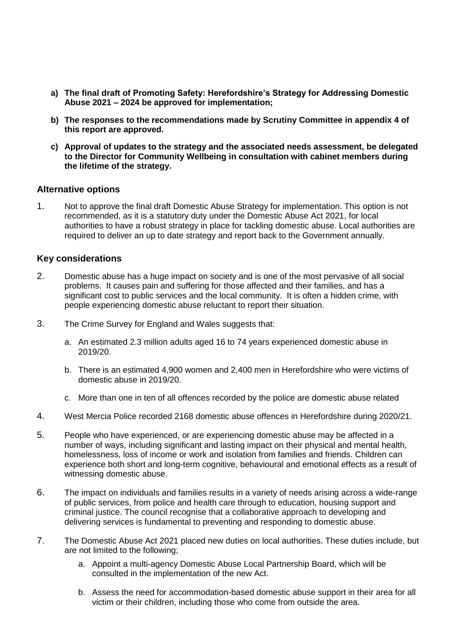- **a) The final draft of Promoting Safety: Herefordshire's Strategy for Addressing Domestic Abuse 2021 – 2024 be approved for implementation;**
- **b) The responses to the recommendations made by Scrutiny Committee in appendix 4 of this report are approved.**
- **c) Approval of updates to the strategy and the associated needs assessment, be delegated to the Director for Community Wellbeing in consultation with cabinet members during the lifetime of the strategy.**

#### **Alternative options**

1. Not to approve the final draft Domestic Abuse Strategy for implementation. This option is not recommended, as it is a statutory duty under the Domestic Abuse Act 2021, for local authorities to have a robust strategy in place for tackling domestic abuse. Local authorities are required to deliver an up to date strategy and report back to the Government annually.

#### **Key considerations**

- 2. Domestic abuse has a huge impact on society and is one of the most pervasive of all social problems. It causes pain and suffering for those affected and their families, and has a significant cost to public services and the local community. It is often a hidden crime, with people experiencing domestic abuse reluctant to report their situation.
- 3. The Crime Survey for England and Wales suggests that:
	- a. An estimated 2.3 million adults aged 16 to 74 years experienced domestic abuse in 2019/20.
	- b. There is an estimated 4,900 women and 2,400 men in Herefordshire who were victims of domestic abuse in 2019/20.
	- c. More than one in ten of all offences recorded by the police are domestic abuse related
- 4. West Mercia Police recorded 2168 domestic abuse offences in Herefordshire during 2020/21.
- 5. People who have experienced, or are experiencing domestic abuse may be affected in a number of ways, including significant and lasting impact on their physical and mental health, homelessness, loss of income or work and isolation from families and friends. Children can experience both short and long-term cognitive, behavioural and emotional effects as a result of witnessing domestic abuse.
- 6. The impact on individuals and families results in a variety of needs arising across a wide-range of public services, from police and health care through to education, housing support and criminal justice. The council recognise that a collaborative approach to developing and delivering services is fundamental to preventing and responding to domestic abuse.
- 7. The Domestic Abuse Act 2021 placed new duties on local authorities. These duties include, but are not limited to the following;
	- a. Appoint a multi-agency Domestic Abuse Local Partnership Board, which will be consulted in the implementation of the new Act.
	- b. Assess the need for accommodation-based domestic abuse support in their area for all victim or their children, including those who come from outside the area.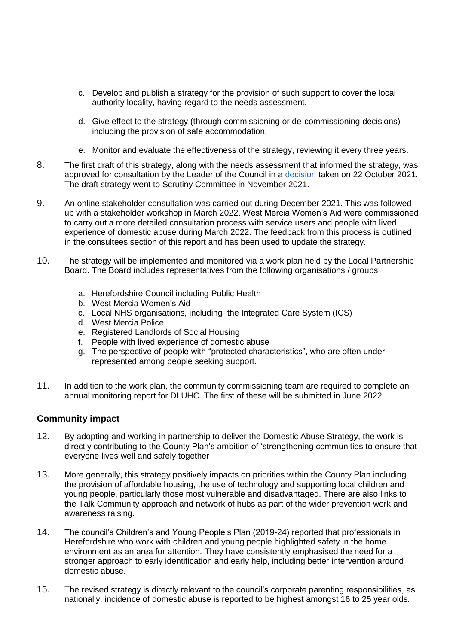- c. Develop and publish a strategy for the provision of such support to cover the local authority locality, having regard to the needs assessment.
- d. Give effect to the strategy (through commissioning or de-commissioning decisions) including the provision of safe accommodation.
- e. Monitor and evaluate the effectiveness of the strategy, reviewing it every three years.
- 8. The first draft of this strategy, along with the needs assessment that informed the strategy, was approved for consultation by the Leader of the Council in a [decision](https://councillors.herefordshire.gov.uk/ieDecisionDetails.aspx?ID=8270) taken on 22 October 2021. The draft strategy went to Scrutiny Committee in November 2021.
- 9. An online stakeholder consultation was carried out during December 2021. This was followed up with a stakeholder workshop in March 2022. West Mercia Women's Aid were commissioned to carry out a more detailed consultation process with service users and people with lived experience of domestic abuse during March 2022. The feedback from this process is outlined in the consultees section of this report and has been used to update the strategy.
- 10. The strategy will be implemented and monitored via a work plan held by the Local Partnership Board. The Board includes representatives from the following organisations / groups:
	- a. Herefordshire Council including Public Health
	- b. West Mercia Women's Aid
	- c. Local NHS organisations, including the Integrated Care System (ICS)
	- d. West Mercia Police
	- e. Registered Landlords of Social Housing
	- f. People with lived experience of domestic abuse
	- g. The perspective of people with "protected characteristics", who are often under represented among people seeking support.
- 11. In addition to the work plan, the community commissioning team are required to complete an annual monitoring report for DLUHC. The first of these will be submitted in June 2022.

#### **Community impact**

- 12. By adopting and working in partnership to deliver the Domestic Abuse Strategy, the work is directly contributing to the County Plan's ambition of 'strengthening communities to ensure that everyone lives well and safely together
- 13. More generally, this strategy positively impacts on priorities within the County Plan including the provision of affordable housing, the use of technology and supporting local children and young people, particularly those most vulnerable and disadvantaged. There are also links to the Talk Community approach and network of hubs as part of the wider prevention work and awareness raising.
- 14. The council's Children's and Young People's Plan (2019-24) reported that professionals in Herefordshire who work with children and young people highlighted safety in the home environment as an area for attention. They have consistently emphasised the need for a stronger approach to early identification and early help, including better intervention around domestic abuse.
- 15. The revised strategy is directly relevant to the council's corporate parenting responsibilities, as nationally, incidence of domestic abuse is reported to be highest amongst 16 to 25 year olds.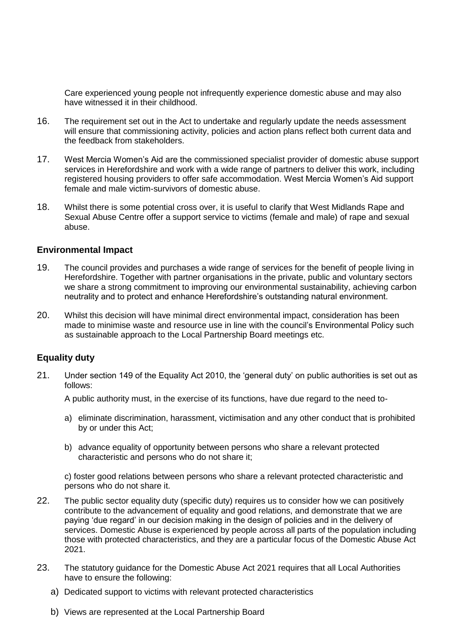Care experienced young people not infrequently experience domestic abuse and may also have witnessed it in their childhood.

- 16. The requirement set out in the Act to undertake and regularly update the needs assessment will ensure that commissioning activity, policies and action plans reflect both current data and the feedback from stakeholders.
- 17. West Mercia Women's Aid are the commissioned specialist provider of domestic abuse support services in Herefordshire and work with a wide range of partners to deliver this work, including registered housing providers to offer safe accommodation. West Mercia Women's Aid support female and male victim-survivors of domestic abuse.
- 18. Whilst there is some potential cross over, it is useful to clarify that West Midlands Rape and Sexual Abuse Centre offer a support service to victims (female and male) of rape and sexual abuse.

#### **Environmental Impact**

- 19. The council provides and purchases a wide range of services for the benefit of people living in Herefordshire. Together with partner organisations in the private, public and voluntary sectors we share a strong commitment to improving our environmental sustainability, achieving carbon neutrality and to protect and enhance Herefordshire's outstanding natural environment.
- 20. Whilst this decision will have minimal direct environmental impact, consideration has been made to minimise waste and resource use in line with the council's Environmental Policy such as sustainable approach to the Local Partnership Board meetings etc.

#### **Equality duty**

21. Under section 149 of the Equality Act 2010, the 'general duty' on public authorities is set out as follows:

A public authority must, in the exercise of its functions, have due regard to the need to-

- a) eliminate discrimination, harassment, victimisation and any other conduct that is prohibited by or under this Act;
- b) advance equality of opportunity between persons who share a relevant protected characteristic and persons who do not share it;

c) foster good relations between persons who share a relevant protected characteristic and persons who do not share it.

- 22. The public sector equality duty (specific duty) requires us to consider how we can positively contribute to the advancement of equality and good relations, and demonstrate that we are paying 'due regard' in our decision making in the design of policies and in the delivery of services. Domestic Abuse is experienced by people across all parts of the population including those with protected characteristics, and they are a particular focus of the Domestic Abuse Act 2021.
- 23. The statutory guidance for the Domestic Abuse Act 2021 requires that all Local Authorities have to ensure the following:
	- a) Dedicated support to victims with relevant protected characteristics
	- b) Views are represented at the Local Partnership Board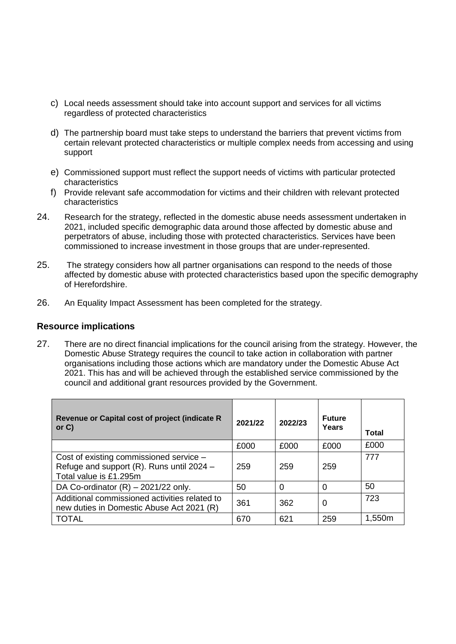- c) Local needs assessment should take into account support and services for all victims regardless of protected characteristics
- d) The partnership board must take steps to understand the barriers that prevent victims from certain relevant protected characteristics or multiple complex needs from accessing and using support
- e) Commissioned support must reflect the support needs of victims with particular protected characteristics
- f) Provide relevant safe accommodation for victims and their children with relevant protected characteristics
- 24. Research for the strategy, reflected in the domestic abuse needs assessment undertaken in 2021, included specific demographic data around those affected by domestic abuse and perpetrators of abuse, including those with protected characteristics. Services have been commissioned to increase investment in those groups that are under-represented.
- 25. The strategy considers how all partner organisations can respond to the needs of those affected by domestic abuse with protected characteristics based upon the specific demography of Herefordshire.
- 26. An Equality Impact Assessment has been completed for the strategy.

#### **Resource implications**

27. There are no direct financial implications for the council arising from the strategy. However, the Domestic Abuse Strategy requires the council to take action in collaboration with partner organisations including those actions which are mandatory under the Domestic Abuse Act 2021. This has and will be achieved through the established service commissioned by the council and additional grant resources provided by the Government.

| Revenue or Capital cost of project (indicate R<br>or $C$ )                                                     | 2021/22 | 2022/23  | <b>Future</b><br>Years | Total  |
|----------------------------------------------------------------------------------------------------------------|---------|----------|------------------------|--------|
|                                                                                                                | £000    | £000     | £000                   | £000   |
| Cost of existing commissioned service -<br>Refuge and support (R). Runs until 2024 -<br>Total value is £1.295m | 259     | 259      | 259                    | 777    |
| DA Co-ordinator $(R) - 2021/22$ only.                                                                          | 50      | $\Omega$ | $\Omega$               | 50     |
| Additional commissioned activities related to<br>new duties in Domestic Abuse Act 2021 (R)                     | 361     | 362      | $\Omega$               | 723    |
| <b>TOTAL</b>                                                                                                   | 670     | 621      | 259                    | 1,550m |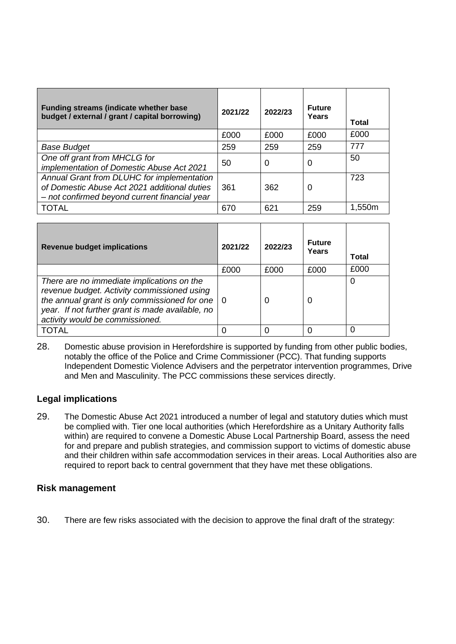| <b>Funding streams (indicate whether base)</b><br>budget / external / grant / capital borrowing)                                            | 2021/22 | 2022/23 | <b>Future</b><br>Years | Total  |
|---------------------------------------------------------------------------------------------------------------------------------------------|---------|---------|------------------------|--------|
|                                                                                                                                             | £000    | £000    | £000                   | £000   |
| <b>Base Budget</b>                                                                                                                          | 259     | 259     | 259                    | 777    |
| One off grant from MHCLG for<br>implementation of Domestic Abuse Act 2021                                                                   | 50      | 0       | 0                      | 50     |
| Annual Grant from DLUHC for implementation<br>of Domestic Abuse Act 2021 additional duties<br>- not confirmed beyond current financial year | 361     | 362     | 0                      | 723    |
| <b>TOTAL</b>                                                                                                                                | 670     | 621     | 259                    | 1,550m |

| <b>Revenue budget implications</b>                                                                                                                                                                                                     | 2021/22 | 2022/23 | <b>Future</b><br>Years | Total |
|----------------------------------------------------------------------------------------------------------------------------------------------------------------------------------------------------------------------------------------|---------|---------|------------------------|-------|
|                                                                                                                                                                                                                                        | £000    | £000    | £000                   | £000  |
| There are no immediate implications on the<br>revenue budget. Activity commissioned using<br>the annual grant is only commissioned for one $ 0$<br>year. If not further grant is made available, no<br>activity would be commissioned. |         | O       | 0                      |       |
| TOTAL                                                                                                                                                                                                                                  |         |         |                        |       |

28. Domestic abuse provision in Herefordshire is supported by funding from other public bodies, notably the office of the Police and Crime Commissioner (PCC). That funding supports Independent Domestic Violence Advisers and the perpetrator intervention programmes, Drive and Men and Masculinity. The PCC commissions these services directly.

#### **Legal implications**

29. The Domestic Abuse Act 2021 introduced a number of legal and statutory duties which must be complied with. Tier one local authorities (which Herefordshire as a Unitary Authority falls within) are required to convene a Domestic Abuse Local Partnership Board, assess the need for and prepare and publish strategies, and commission support to victims of domestic abuse and their children within safe accommodation services in their areas. Local Authorities also are required to report back to central government that they have met these obligations.

#### **Risk management**

30. There are few risks associated with the decision to approve the final draft of the strategy: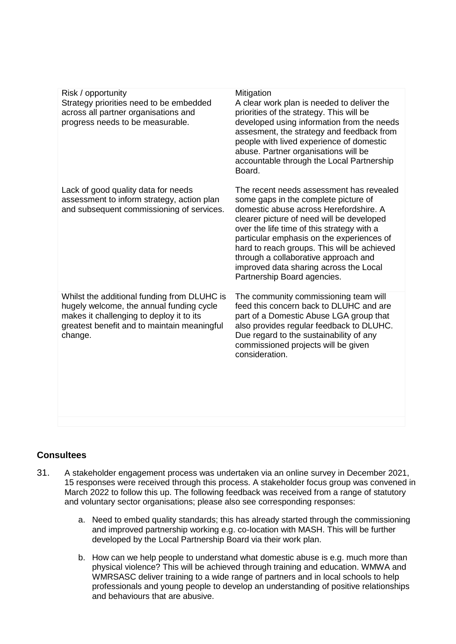| Risk / opportunity<br>Strategy priorities need to be embedded<br>across all partner organisations and<br>progress needs to be measurable.                                                     | Mitigation<br>A clear work plan is needed to deliver the<br>priorities of the strategy. This will be<br>developed using information from the needs<br>assesment, the strategy and feedback from<br>people with lived experience of domestic<br>abuse. Partner organisations will be<br>accountable through the Local Partnership<br>Board.                                                                                         |
|-----------------------------------------------------------------------------------------------------------------------------------------------------------------------------------------------|------------------------------------------------------------------------------------------------------------------------------------------------------------------------------------------------------------------------------------------------------------------------------------------------------------------------------------------------------------------------------------------------------------------------------------|
| Lack of good quality data for needs<br>assessment to inform strategy, action plan<br>and subsequent commissioning of services.                                                                | The recent needs assessment has revealed<br>some gaps in the complete picture of<br>domestic abuse across Herefordshire, A<br>clearer picture of need will be developed<br>over the life time of this strategy with a<br>particular emphasis on the experiences of<br>hard to reach groups. This will be achieved<br>through a collaborative approach and<br>improved data sharing across the Local<br>Partnership Board agencies. |
| Whilst the additional funding from DLUHC is<br>hugely welcome, the annual funding cycle<br>makes it challenging to deploy it to its<br>greatest benefit and to maintain meaningful<br>change. | The community commissioning team will<br>feed this concern back to DLUHC and are<br>part of a Domestic Abuse LGA group that<br>also provides regular feedback to DLUHC.<br>Due regard to the sustainability of any<br>commissioned projects will be given<br>consideration.                                                                                                                                                        |
|                                                                                                                                                                                               |                                                                                                                                                                                                                                                                                                                                                                                                                                    |

# **Consultees**

- 31. A stakeholder engagement process was undertaken via an online survey in December 2021, 15 responses were received through this process. A stakeholder focus group was convened in March 2022 to follow this up. The following feedback was received from a range of statutory and voluntary sector organisations; please also see corresponding responses:
	- a. Need to embed quality standards; this has already started through the commissioning and improved partnership working e.g. co-location with MASH. This will be further developed by the Local Partnership Board via their work plan.
	- b. How can we help people to understand what domestic abuse is e.g. much more than physical violence? This will be achieved through training and education. WMWA and WMRSASC deliver training to a wide range of partners and in local schools to help professionals and young people to develop an understanding of positive relationships and behaviours that are abusive.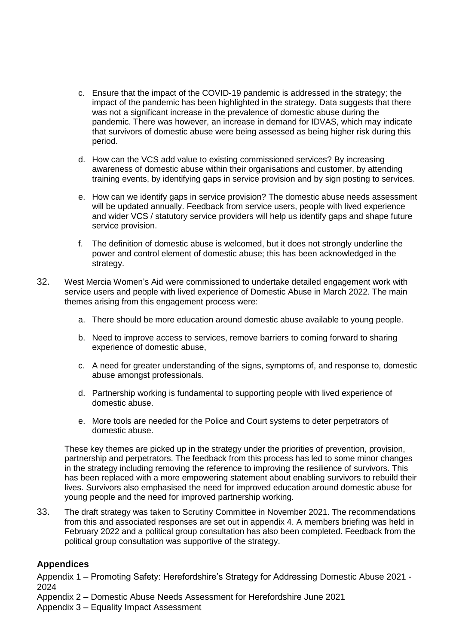- c. Ensure that the impact of the COVID-19 pandemic is addressed in the strategy; the impact of the pandemic has been highlighted in the strategy. Data suggests that there was not a significant increase in the prevalence of domestic abuse during the pandemic. There was however, an increase in demand for IDVAS, which may indicate that survivors of domestic abuse were being assessed as being higher risk during this period.
- d. How can the VCS add value to existing commissioned services? By increasing awareness of domestic abuse within their organisations and customer, by attending training events, by identifying gaps in service provision and by sign posting to services.
- e. How can we identify gaps in service provision? The domestic abuse needs assessment will be updated annually. Feedback from service users, people with lived experience and wider VCS / statutory service providers will help us identify gaps and shape future service provision.
- f. The definition of domestic abuse is welcomed, but it does not strongly underline the power and control element of domestic abuse; this has been acknowledged in the strategy.
- 32. West Mercia Women's Aid were commissioned to undertake detailed engagement work with service users and people with lived experience of Domestic Abuse in March 2022. The main themes arising from this engagement process were:
	- a. There should be more education around domestic abuse available to young people.
	- b. Need to improve access to services, remove barriers to coming forward to sharing experience of domestic abuse,
	- c. A need for greater understanding of the signs, symptoms of, and response to, domestic abuse amongst professionals.
	- d. Partnership working is fundamental to supporting people with lived experience of domestic abuse.
	- e. More tools are needed for the Police and Court systems to deter perpetrators of domestic abuse.

These key themes are picked up in the strategy under the priorities of prevention, provision, partnership and perpetrators. The feedback from this process has led to some minor changes in the strategy including removing the reference to improving the resilience of survivors. This has been replaced with a more empowering statement about enabling survivors to rebuild their lives. Survivors also emphasised the need for improved education around domestic abuse for young people and the need for improved partnership working.

33. The draft strategy was taken to Scrutiny Committee in November 2021. The recommendations from this and associated responses are set out in appendix 4. A members briefing was held in February 2022 and a political group consultation has also been completed. Feedback from the political group consultation was supportive of the strategy.

#### **Appendices**

Appendix 1 – Promoting Safety: Herefordshire's Strategy for Addressing Domestic Abuse 2021 - 2024

Appendix 2 – Domestic Abuse Needs Assessment for Herefordshire June 2021 Appendix 3 – Equality Impact Assessment